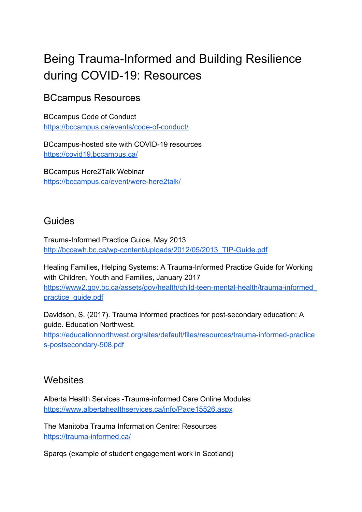# Being Trauma-Informed and Building Resilience during COVID-19: Resources

# BCcampus Resources

BCcampus Code of Conduct <https://bccampus.ca/events/code-of-conduct/>

BCcampus-hosted site with COVID-19 resources <https://covid19.bccampus.ca/>

BCcampus Here2Talk Webinar <https://bccampus.ca/event/were-here2talk/>

### Guides

Trauma-Informed Practice Guide, May 2013 [http://bccewh.bc.ca/wp-content/uploads/2012/05/2013\\_TIP-Guide.pdf](http://bccewh.bc.ca/wp-content/uploads/2012/05/2013_TIP-Guide.pdf)

Healing Families, Helping Systems: A Trauma-Informed Practice Guide for Working with Children, Youth and Families, January 2017 [https://www2.gov.bc.ca/assets/gov/health/child-teen-mental-health/trauma-informed\\_](https://www2.gov.bc.ca/assets/gov/health/child-teen-mental-health/trauma-informed_practice_guide.pdf) [practice\\_guide.pdf](https://www2.gov.bc.ca/assets/gov/health/child-teen-mental-health/trauma-informed_practice_guide.pdf)

Davidson, S. (2017). Trauma informed practices for post-secondary education: A guide. Education Northwest.

[https://educationnorthwest.org/sites/default/files/resources/trauma-informed-practice](https://educationnorthwest.org/sites/default/files/resources/trauma-informed-practices-postsecondary-508.pdf) [s-postsecondary-508.pdf](https://educationnorthwest.org/sites/default/files/resources/trauma-informed-practices-postsecondary-508.pdf)

### **Websites**

Alberta Health Services -Trauma-informed Care Online Modules <https://www.albertahealthservices.ca/info/Page15526.aspx>

The Manitoba Trauma Information Centre: Resources <https://trauma-informed.ca/>

Sparqs (example of student engagement work in Scotland)